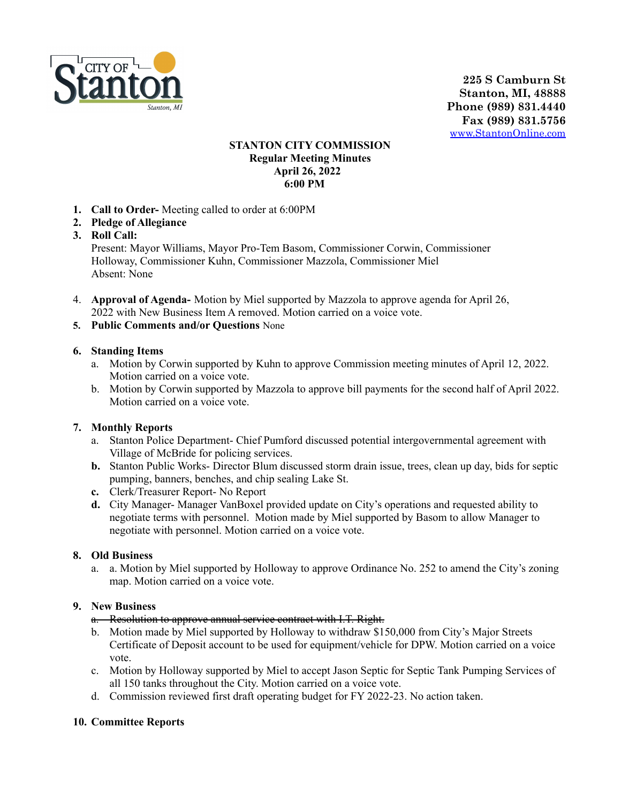

**225 S Camburn St Stanton, MI, 48888 Phone (989) 831.4440 Fax (989) 831.5756** [www.StantonOnline.com](http://www.stantononline.com)

## **STANTON CITY COMMISSION Regular Meeting Minutes April 26, 2022 6:00 PM**

- **1. Call to Order-** Meeting called to order at 6:00PM
- **2. Pledge of Allegiance**
- **3. Roll Call:**

Present: Mayor Williams, Mayor Pro-Tem Basom, Commissioner Corwin, Commissioner Holloway, Commissioner Kuhn, Commissioner Mazzola, Commissioner Miel Absent: None

- 4. **Approval of Agenda-** Motion by Miel supported by Mazzola to approve agenda for April 26, 2022 with New Business Item A removed. Motion carried on a voice vote.
- **5. Public Comments and/or Questions** None

### **6. Standing Items**

- a. Motion by Corwin supported by Kuhn to approve Commission meeting minutes of April 12, 2022. Motion carried on a voice vote.
- b. Motion by Corwin supported by Mazzola to approve bill payments for the second half of April 2022. Motion carried on a voice vote.

### **7. Monthly Reports**

- a. Stanton Police Department- Chief Pumford discussed potential intergovernmental agreement with Village of McBride for policing services.
- **b.** Stanton Public Works- Director Blum discussed storm drain issue, trees, clean up day, bids for septic pumping, banners, benches, and chip sealing Lake St.
- **c.** Clerk/Treasurer Report- No Report
- **d.** City Manager- Manager VanBoxel provided update on City's operations and requested ability to negotiate terms with personnel. Motion made by Miel supported by Basom to allow Manager to negotiate with personnel. Motion carried on a voice vote.

### **8. Old Business**

a. a. Motion by Miel supported by Holloway to approve Ordinance No. 252 to amend the City's zoning map. Motion carried on a voice vote.

### **9. New Business**

### a. Resolution to approve annual service contract with I.T. Right.

- b. Motion made by Miel supported by Holloway to withdraw \$150,000 from City's Major Streets Certificate of Deposit account to be used for equipment/vehicle for DPW. Motion carried on a voice vote.
- c. Motion by Holloway supported by Miel to accept Jason Septic for Septic Tank Pumping Services of all 150 tanks throughout the City. Motion carried on a voice vote.
- d. Commission reviewed first draft operating budget for FY 2022-23. No action taken.

# **10. Committee Reports**